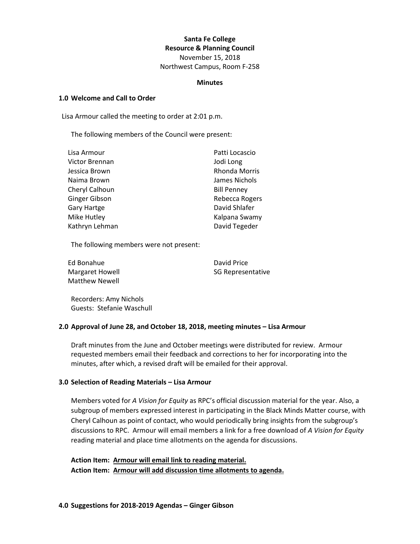### **Santa Fe College Resource & Planning Council**

November 15, 2018 Northwest Campus, Room F-258

#### **Minutes**

#### **1.0 Welcome and Call to Order**

Lisa Armour called the meeting to order at 2:01 p.m.

The following members of the Council were present:

| Lisa Armour        | Patti Locascio       |
|--------------------|----------------------|
| Victor Brennan     | Jodi Long            |
| Jessica Brown      | <b>Rhonda Morris</b> |
| Naima Brown        | James Nichols        |
| Cheryl Calhoun     | <b>Bill Penney</b>   |
| Ginger Gibson      | Rebecca Rogers       |
| <b>Gary Hartge</b> | David Shlafer        |
| Mike Hutley        | Kalpana Swamy        |
| Kathryn Lehman     | David Tegeder        |

The following members were not present:

| Ed Bonahue             |  |
|------------------------|--|
| <b>Margaret Howell</b> |  |
| <b>Matthew Newell</b>  |  |

David Price SG Representative

Recorders: Amy Nichols Guests: Stefanie Waschull

#### **2.0 Approval of June 28, and October 18, 2018, meeting minutes – Lisa Armour**

Draft minutes from the June and October meetings were distributed for review. Armour requested members email their feedback and corrections to her for incorporating into the minutes, after which, a revised draft will be emailed for their approval.

#### **3.0 Selection of Reading Materials – Lisa Armour**

Members voted for *A Vision for Equity* as RPC's official discussion material for the year. Also, a subgroup of members expressed interest in participating in the Black Minds Matter course, with Cheryl Calhoun as point of contact, who would periodically bring insights from the subgroup's discussions to RPC. Armour will email members a link for a free download of *A Vision for Equity* reading material and place time allotments on the agenda for discussions.

**Action Item: Armour will email link to reading material. Action Item: Armour will add discussion time allotments to agenda.**